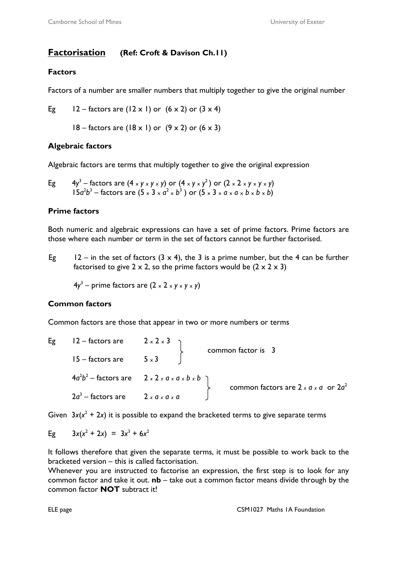# **Factorisation (Ref: Croft & Davison Ch.11)**

## **Factors**

Factors of a number are smaller numbers that multiply together to give the original number

Eg  $12 -$  factors are (12 x 1) or  $(6 \times 2)$  or  $(3 \times 4)$ 

 $18 -$  factors are (18 x 1) or  $(9 \times 2)$  or  $(6 \times 3)$ 

## **Algebraic factors**

Algebraic factors are terms that multiply together to give the original expression

Eg 
$$
4y^3
$$
 - factors are  $(4 \times y \times y \times y)$  or  $(4 \times y \times y^2)$  or  $(2 \times 2 \times y \times y \times y)$   
\n15a<sup>2</sup>b<sup>3</sup> - factors are  $(5 \times 3 \times a^2 \times b^3)$  or  $(5 \times 3 \times a \times a \times b \times b \times b)$ 

## **Prime factors**

Both numeric and algebraic expressions can have a set of prime factors. Prime factors are those where each number or term in the set of factors cannot be further factorised.

Eg 12 – in the set of factors  $(3 \times 4)$ , the 3 is a prime number, but the 4 can be further factorised to give  $2 \times 2$ , so the prime factors would be  $(2 \times 2 \times 3)$ 

 $4y^3$  – prime factors are  $(2 \times 2 \times y \times y \times y)$ 

## **Common factors**

Common factors are those that appear in two or more numbers or terms

|  | Eg $12$ – factors are $2 \times 2 \times 3$         |                                                             | common factor is 3                                 |
|--|-----------------------------------------------------|-------------------------------------------------------------|----------------------------------------------------|
|  | $15 -$ factors are $5 \times 3$                     |                                                             |                                                    |
|  |                                                     | $4a^2b^2$ – factors are 2 x 2 x a x a x b x b $\rightarrow$ | common factors are $2 \times a \times a$ or $2a^2$ |
|  | $2a^3$ – factors are $2 \times a \times a \times a$ |                                                             |                                                    |

Given  $3x(x^2 + 2x)$  it is possible to expand the bracketed terms to give separate terms

Eg 
$$
3x(x^2 + 2x) = 3x^3 + 6x^2
$$

It follows therefore that given the separate terms, it must be possible to work back to the bracketed version – this is called factorisation.

Whenever you are instructed to factorise an expression, the first step is to look for any common factor and take it out. **nb** – take out a common factor means divide through by the common factor **NOT** subtract it!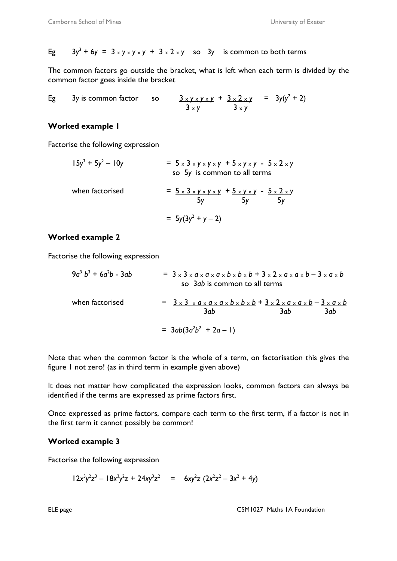Eg 
$$
3y^3 + 6y = 3 \times y \times y \times y + 3 \times 2 \times y
$$
 so  $3y$  is common to both terms

The common factors go outside the bracket, what is left when each term is divided by the common factor goes inside the bracket

Eg 3y is common factor so 
$$
\frac{3 \times y \times y \times y}{3 \times y} + \frac{3 \times 2 \times y}{3 \times y} = 3y(y^2 + 2)
$$

#### **Worked example 1**

Factorise the following expression

$$
15y3 + 5y2 - 10y = 5 \times 3 \times y \times y \times y + 5 \times y \times y - 5 \times 2 \times y
$$
  
\nso 5y is common to all terms  
\nwhen factorised  
\n
$$
= 5 \times 3 \times y \times y \times y + 5 \times y \times y - 5 \times 2 \times y
$$
  
\n
$$
= 5 \times 3 \times y \times y \times y + 5 \times y \times y - 5 \times 2 \times y
$$
  
\n
$$
= 5y(3y2 + y - 2)
$$

#### **Worked example 2**

Factorise the following expression

| $9a^3 b^3 + 6a^2 b - 3ab$ |                                                                                                                                           | $= 3 \times 3 \times a \times a \times a \times b \times b \times b + 3 \times 2 \times a \times a \times b - 3 \times a \times b$<br>so 3ab is common to all terms |     |
|---------------------------|-------------------------------------------------------------------------------------------------------------------------------------------|---------------------------------------------------------------------------------------------------------------------------------------------------------------------|-----|
| when factorised           | $= 3 \times 3 \times a \times a \times a \times b \times b \times b + 3 \times 2 \times a \times a \times b - 3 \times a \times b$<br>3ab | 3ab.                                                                                                                                                                | 3ab |
|                           | $= 3ab(3a^2b^2 + 2a - 1)$                                                                                                                 |                                                                                                                                                                     |     |

Note that when the common factor is the whole of a term, on factorisation this gives the figure 1 not zero! (as in third term in example given above)

It does not matter how complicated the expression looks, common factors can always be identified if the terms are expressed as prime factors first.

Once expressed as prime factors, compare each term to the first term, if a factor is not in the first term it cannot possibly be common!

### **Worked example 3**

Factorise the following expression

$$
12x^3y^2z^3 - 18x^3y^2z + 24xy^3z^2 = 6xy^2z (2x^2z^2 - 3x^2 + 4y)
$$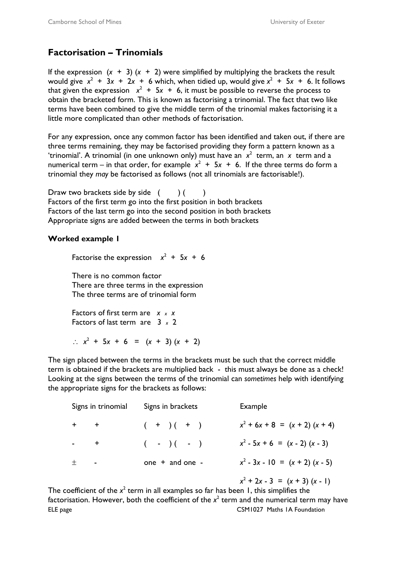# **Factorisation – Trinomials**

If the expression  $(x + 3)(x + 2)$  were simplified by multiplying the brackets the result would give  $x^2 + 3x + 2x + 6$  which, when tidied up, would give  $x^2 + 5x + 6$ . It follows that given the expression  $x^2 + 5x + 6$ , it must be possible to reverse the process to obtain the bracketed form. This is known as factorising a trinomial. The fact that two like terms have been combined to give the middle term of the trinomial makes factorising it a little more complicated than other methods of factorisation.

For any expression, once any common factor has been identified and taken out, if there are three terms remaining, they may be factorised providing they form a pattern known as a 'trinomial'. A trinomial (in one unknown only) must have an  $x^2$  term, an  $x$  term and a numerical term – in that order, for example  $x^2 + 5x + 6$ . If the three terms do form a trinomial they *may* be factorised as follows (not all trinomials are factorisable!).

Draw two brackets side by side  $($   $)$   $($   $)$ Factors of the first term go into the first position in both brackets Factors of the last term go into the second position in both brackets Appropriate signs are added between the terms in both brackets

#### **Worked example 1**

Factorise the expression  $x^2 + 5x + 6$ 

 There is no common factor There are three terms in the expression The three terms are of trinomial form

 Factors of first term are *x <sup>x</sup> x* Factors of last term are 3 *x* 2

∴  $x^2 + 5x + 6 = (x + 3) (x + 2)$ 

The sign placed between the terms in the brackets must be such that the correct middle term is obtained if the brackets are multiplied back - this must always be done as a check! Looking at the signs between the terms of the trinomial can *sometimes* help with identifying the appropriate signs for the brackets as follows:

|         | Signs in trinomial | Signs in brackets   | Example                           |
|---------|--------------------|---------------------|-----------------------------------|
| $+$ $+$ |                    | $(+ ) (+ )$         | $x^2$ + 6x + 8 = (x + 2) (x + 4)  |
|         | $\pm$              | $(- -)( - )$        | $x^2 - 5x + 6 = (x - 2) (x - 3)$  |
|         | $\blacksquare$     | one $+$ and one $-$ | $x^2 - 3x - 10 = (x + 2) (x - 5)$ |
|         |                    |                     |                                   |

 *x*  $x^2 + 2x - 3 = (x + 3)(x - 1)$ 

ELE page CSM1027 Maths 1A Foundation The coefficient of the  $x^2$  term in all examples so far has been 1, this simplifies the factorisation. However, both the coefficient of the  $x^2$  term and the numerical term may have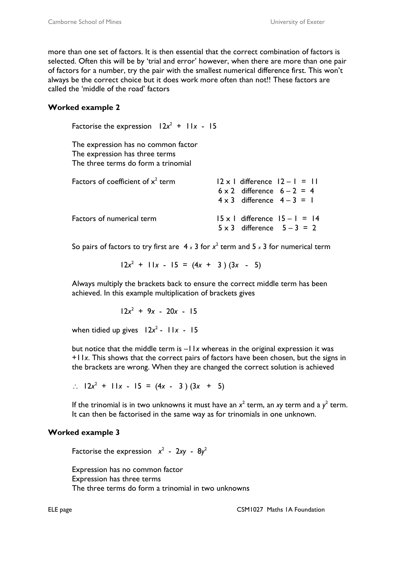more than one set of factors. It is then essential that the correct combination of factors is selected. Often this will be by 'trial and error' however, when there are more than one pair of factors for a number, try the pair with the smallest numerical difference first. This won't always be the correct choice but it does work more often than not!! These factors are called the 'middle of the road' factors

### **Worked example 2**

Factorise the expression  $12x^2 + 11x - 15$ 

The expression has no common factor The expression has three terms The three terms do form a trinomial

| Factors of coefficient of $x^2$ term | $ 2 \times 1$ difference $ 2 - 1  =  1 $                                    |
|--------------------------------------|-----------------------------------------------------------------------------|
|                                      | $6 \times 2$ difference $6 - 2 = 4$                                         |
|                                      | $4 \times 3$ difference $4-3=1$                                             |
| Factors of numerical term            | $15 \times 1$ difference $15 - 1 = 14$<br>$5 \times 3$ difference $5-3 = 2$ |

So pairs of factors to try first are  $4 \times 3$  for  $x^2$  term and  $5 \times 3$  for numerical term

 $12x^2 + 11x - 15 = (4x + 3)(3x - 5)$ 

Always multiply the brackets back to ensure the correct middle term has been achieved. In this example multiplication of brackets gives

 $12x^2 + 9x - 20x - 15$ 

when tidied up gives  $12x^2 - 11x - 15$ 

but notice that the middle term is –11*x* whereas in the original expression it was +11*x*. This shows that the correct pairs of factors have been chosen, but the signs in the brackets are wrong. When they are changed the correct solution is achieved

∴  $12x^2$  + 11*x* - 15 = (4*x* - 3) (3*x* + 5)

If the trinomial is in two unknowns it must have an  $x^2$  term, an *xy* term and a  $y^2$  term. It can then be factorised in the same way as for trinomials in one unknown.

## **Worked example 3**

Factorise the expression  $x^2$  - 2xy -  $8y^2$ 

 Expression has no common factor Expression has three terms The three terms do form a trinomial in two unknowns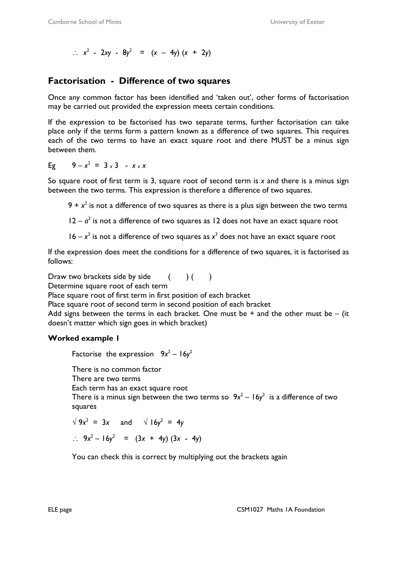∴  $x^2$  - 2*xy* - 8*y*<sup>2</sup> = (*x* − 4*y*) (*x* + 2*y*)

## **Factorisation - Difference of two squares**

Once any common factor has been identified and 'taken out', other forms of factorisation may be carried out provided the expression meets certain conditions.

If the expression to be factorised has two separate terms, further factorisation can take place only if the terms form a pattern known as a difference of two squares. This requires each of the two terms to have an exact square root and there MUST be a minus sign between them.

Eg  $9 - x^2 = 3 \times 3 - x \times x$ 

So square root of first term is 3, square root of second term is *x* and there is a minus sign between the two terms. This expression is therefore a difference of two squares.

 $9 + x^2$  is not a difference of two squares as there is a plus sign between the two terms

 $12 - a^2$  is not a difference of two squares as 12 does not have an exact square root

 $16 - x<sup>3</sup>$  is not a difference of two squares as  $x<sup>3</sup>$  does not have an exact square root

If the expression does meet the conditions for a difference of two squares, it is factorised as follows:

Draw two brackets side by side  $( )$  () Determine square root of each term Place square root of first term in first position of each bracket Place square root of second term in second position of each bracket Add signs between the terms in each bracket. One must be  $+$  and the other must be  $-$  (it doesn't matter which sign goes in which bracket)

### **Worked example 1**

Factorise the expression  $9x^2 - 16y^2$ 

There is no common factor

There are two terms

Each term has an exact square root

There is a minus sign between the two terms so  $9x^2 - 16y^2$  is a difference of two squares

$$
\sqrt{9x^2} = 3x
$$
 and  $\sqrt{16y^2} = 4y$   
\n $\therefore 9x^2 - 16y^2 = (3x + 4y) (3x - 4y)$ 

You can check this is correct by multiplying out the brackets again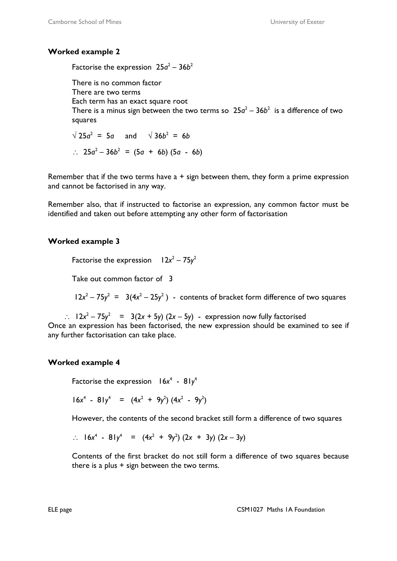### **Worked example 2**

Factorise the expression  $25a^2 - 36b^2$ 

 There is no common factor There are two terms Each term has an exact square root There is a minus sign between the two terms so  $25a^2 - 36b^2$  is a difference of two squares

 $\sqrt{25a^2}$  = 5*a* and  $\sqrt{36b^2}$  = 6*b* ∴  $25a^2 - 36b^2 = (5a + 6b) (5a - 6b)$ 

Remember that if the two terms have  $a + sign$  between them, they form a prime expression and cannot be factorised in any way.

Remember also, that if instructed to factorise an expression, any common factor must be identified and taken out before attempting any other form of factorisation

### **Worked example 3**

Factorise the expression  $12x^2 - 75y^2$ 

Take out common factor of 3

 $12x^2 - 75y^2 = 3(4x^2 - 25y^2)$  - contents of bracket form difference of two squares

 $\therefore$   $12x^2 - 75y^2 = 3(2x + 5y) (2x - 5y)$  - expression now fully factorised Once an expression has been factorised, the new expression should be examined to see if any further factorisation can take place.

### **Worked example 4**

Factorise the expression  $16x^4 - 81y^4$ 

 $16x^4 - 81y^4 = (4x^2 + 9y^2)(4x^2 - 9y^2)$ 

However, the contents of the second bracket still form a difference of two squares

$$
\therefore 16x^4 - 81y^4 = (4x^2 + 9y^2)(2x + 3y)(2x - 3y)
$$

Contents of the first bracket do not still form a difference of two squares because there is a plus  $+$  sign between the two terms.